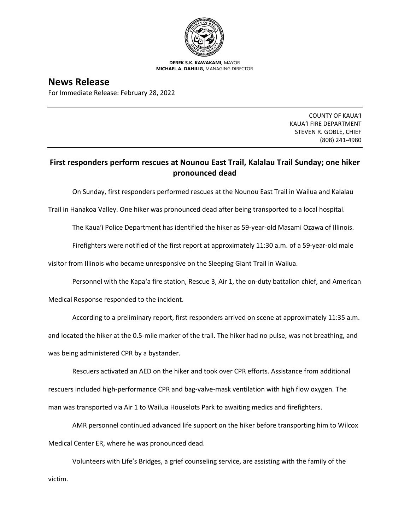

**DEREK S.K. KAWAKAMI,** MAYOR **MICHAEL A. DAHILIG,** MANAGING DIRECTOR

## **News Release**

For Immediate Release: February 28, 2022

COUNTY OF KAUA'I KAUA'I FIRE DEPARTMENT STEVEN R. GOBLE, CHIEF (808) 241-4980

## **First responders perform rescues at Nounou East Trail, Kalalau Trail Sunday; one hiker pronounced dead**

On Sunday, first responders performed rescues at the Nounou East Trail in Wailua and Kalalau

Trail in Hanakoa Valley. One hiker was pronounced dead after being transported to a local hospital.

The Kaua'i Police Department has identified the hiker as 59-year-old Masami Ozawa of Illinois.

Firefighters were notified of the first report at approximately 11:30 a.m. of a 59-year-old male

visitor from Illinois who became unresponsive on the Sleeping Giant Trail in Wailua.

Personnel with the Kapa'a fire station, Rescue 3, Air 1, the on-duty battalion chief, and American

Medical Response responded to the incident.

According to a preliminary report, first responders arrived on scene at approximately 11:35 a.m. and located the hiker at the 0.5-mile marker of the trail. The hiker had no pulse, was not breathing, and was being administered CPR by a bystander.

Rescuers activated an AED on the hiker and took over CPR efforts. Assistance from additional rescuers included high-performance CPR and bag-valve-mask ventilation with high flow oxygen. The man was transported via Air 1 to Wailua Houselots Park to awaiting medics and firefighters.

AMR personnel continued advanced life support on the hiker before transporting him to Wilcox Medical Center ER, where he was pronounced dead.

Volunteers with Life's Bridges, a grief counseling service, are assisting with the family of the victim.